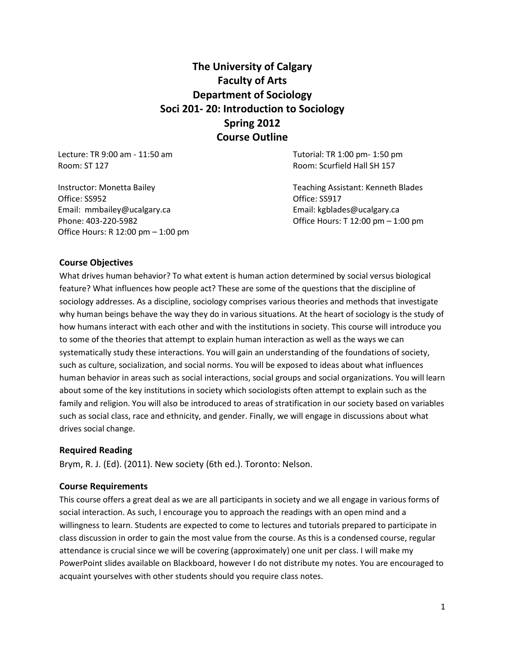# **The University of Calgary Faculty of Arts Department of Sociology Soci 201- 20: Introduction to Sociology Spring 2012 Course Outline**

Lecture: TR 9:00 am - 11:50 am Room: ST 127

Instructor: Monetta Bailey Office: SS952 Email: mmbailey@ucalgary.ca Phone: 403-220-5982 Office Hours: R 12:00 pm – 1:00 pm Tutorial: TR 1:00 pm- 1:50 pm Room: Scurfield Hall SH 157

Teaching Assistant: Kenneth Blades Office: SS917 Email: kgblades@ucalgary.ca Office Hours: T 12:00 pm – 1:00 pm

### **Course Objectives**

What drives human behavior? To what extent is human action determined by social versus biological feature? What influences how people act? These are some of the questions that the discipline of sociology addresses. As a discipline, sociology comprises various theories and methods that investigate why human beings behave the way they do in various situations. At the heart of sociology is the study of how humans interact with each other and with the institutions in society. This course will introduce you to some of the theories that attempt to explain human interaction as well as the ways we can systematically study these interactions. You will gain an understanding of the foundations of society, such as culture, socialization, and social norms. You will be exposed to ideas about what influences human behavior in areas such as social interactions, social groups and social organizations. You will learn about some of the key institutions in society which sociologists often attempt to explain such as the family and religion. You will also be introduced to areas of stratification in our society based on variables such as social class, race and ethnicity, and gender. Finally, we will engage in discussions about what drives social change.

#### **Required Reading**

Brym, R. J. (Ed). (2011). New society (6th ed.). Toronto: Nelson.

#### **Course Requirements**

This course offers a great deal as we are all participants in society and we all engage in various forms of social interaction. As such, I encourage you to approach the readings with an open mind and a willingness to learn. Students are expected to come to lectures and tutorials prepared to participate in class discussion in order to gain the most value from the course. As this is a condensed course, regular attendance is crucial since we will be covering (approximately) one unit per class. I will make my PowerPoint slides available on Blackboard, however I do not distribute my notes. You are encouraged to acquaint yourselves with other students should you require class notes.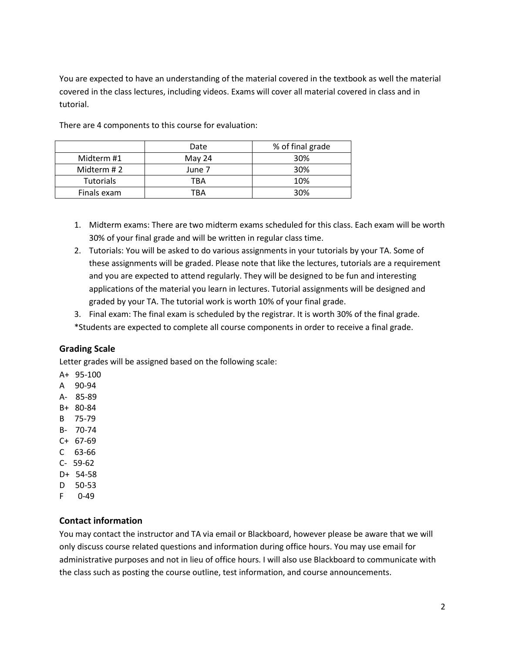You are expected to have an understanding of the material covered in the textbook as well the material covered in the class lectures, including videos. Exams will cover all material covered in class and in tutorial.

|                  | Date   | % of final grade |
|------------------|--------|------------------|
| Midterm #1       | May 24 | 30%              |
| Midterm #2       | June 7 | 30%              |
| <b>Tutorials</b> | TBA    | 10%              |
| Finals exam      | TRA    | 30%              |

There are 4 components to this course for evaluation:

- 1. Midterm exams: There are two midterm exams scheduled for this class. Each exam will be worth 30% of your final grade and will be written in regular class time.
- 2. Tutorials: You will be asked to do various assignments in your tutorials by your TA. Some of these assignments will be graded. Please note that like the lectures, tutorials are a requirement and you are expected to attend regularly. They will be designed to be fun and interesting applications of the material you learn in lectures. Tutorial assignments will be designed and graded by your TA. The tutorial work is worth 10% of your final grade.
- 3. Final exam: The final exam is scheduled by the registrar. It is worth 30% of the final grade. \*Students are expected to complete all course components in order to receive a final grade.

# **Grading Scale**

Letter grades will be assigned based on the following scale:

- A+ 95-100
- A 90-94
- A- 85-89
- B+ 80-84
- B 75-79
- B- 70-74
- C+ 67-69
- C 63-66 C- 59-62
- 
- D+ 54-58 D 50-53
- F 0-49

# **Contact information**

You may contact the instructor and TA via email or Blackboard, however please be aware that we will only discuss course related questions and information during office hours. You may use email for administrative purposes and not in lieu of office hours. I will also use Blackboard to communicate with the class such as posting the course outline, test information, and course announcements.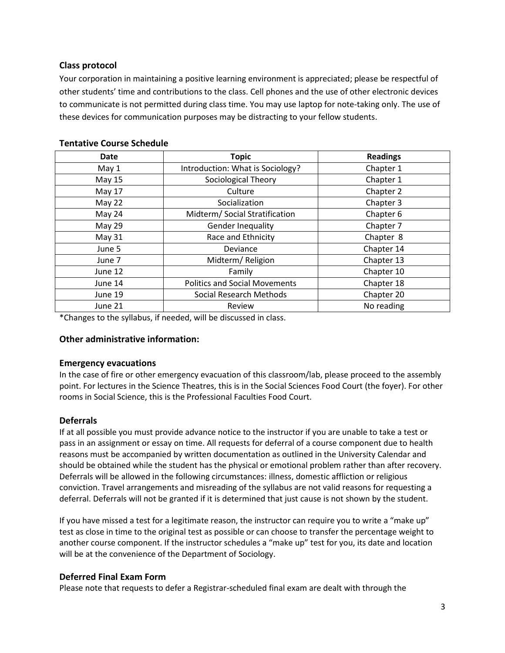# **Class protocol**

Your corporation in maintaining a positive learning environment is appreciated; please be respectful of other students' time and contributions to the class. Cell phones and the use of other electronic devices to communicate is not permitted during class time. You may use laptop for note-taking only. The use of these devices for communication purposes may be distracting to your fellow students.

| Date          | <b>Topic</b>                         | <b>Readings</b> |
|---------------|--------------------------------------|-----------------|
| May 1         | Introduction: What is Sociology?     | Chapter 1       |
| <b>May 15</b> | Sociological Theory                  | Chapter 1       |
| May 17        | Culture                              | Chapter 2       |
| May 22        | Socialization                        | Chapter 3       |
| May 24        | Midterm/ Social Stratification       | Chapter 6       |
| May 29        | Gender Inequality                    | Chapter 7       |
| May 31        | Race and Ethnicity                   | Chapter 8       |
| June 5        | Deviance                             | Chapter 14      |
| June 7        | Midterm/Religion                     | Chapter 13      |
| June 12       | Family                               | Chapter 10      |
| June 14       | <b>Politics and Social Movements</b> | Chapter 18      |
| June 19       | Social Research Methods              | Chapter 20      |
| June 21       | Review                               | No reading      |

## **Tentative Course Schedule**

\*Changes to the syllabus, if needed, will be discussed in class.

### **Other administrative information:**

### **Emergency evacuations**

In the case of fire or other emergency evacuation of this classroom/lab, please proceed to the assembly point. For lectures in the Science Theatres, this is in the Social Sciences Food Court (the foyer). For other rooms in Social Science, this is the Professional Faculties Food Court.

# **Deferrals**

If at all possible you must provide advance notice to the instructor if you are unable to take a test or pass in an assignment or essay on time. All requests for deferral of a course component due to health reasons must be accompanied by written documentation as outlined in the University Calendar and should be obtained while the student has the physical or emotional problem rather than after recovery. Deferrals will be allowed in the following circumstances: illness, domestic affliction or religious conviction. Travel arrangements and misreading of the syllabus are not valid reasons for requesting a deferral. Deferrals will not be granted if it is determined that just cause is not shown by the student.

If you have missed a test for a legitimate reason, the instructor can require you to write a "make up" test as close in time to the original test as possible or can choose to transfer the percentage weight to another course component. If the instructor schedules a "make up" test for you, its date and location will be at the convenience of the Department of Sociology.

### **Deferred Final Exam Form**

Please note that requests to defer a Registrar-scheduled final exam are dealt with through the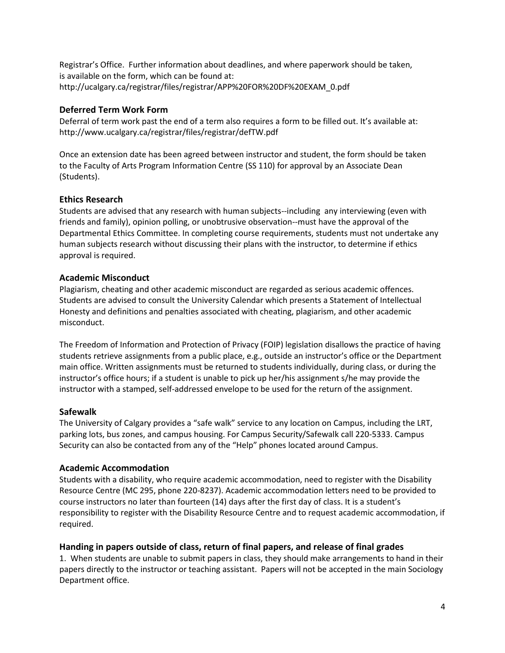Registrar's Office. Further information about deadlines, and where paperwork should be taken, is available on the form, which can be found at: http://ucalgary.ca/registrar/files/registrar/APP%20FOR%20DF%20EXAM\_0.pdf

# **Deferred Term Work Form**

Deferral of term work past the end of a term also requires a form to be filled out. It's available at: http://www.ucalgary.ca/registrar/files/registrar/defTW.pdf

Once an extension date has been agreed between instructor and student, the form should be taken to the Faculty of Arts Program Information Centre (SS 110) for approval by an Associate Dean (Students).

# **Ethics Research**

Students are advised that any research with human subjects--including any interviewing (even with friends and family), opinion polling, or unobtrusive observation--must have the approval of the Departmental Ethics Committee. In completing course requirements, students must not undertake any human subjects research without discussing their plans with the instructor, to determine if ethics approval is required.

# **Academic Misconduct**

Plagiarism, cheating and other academic misconduct are regarded as serious academic offences. Students are advised to consult the University Calendar which presents a Statement of Intellectual Honesty and definitions and penalties associated with cheating, plagiarism, and other academic misconduct.

The Freedom of Information and Protection of Privacy (FOIP) legislation disallows the practice of having students retrieve assignments from a public place, e.g., outside an instructor's office or the Department main office. Written assignments must be returned to students individually, during class, or during the instructor's office hours; if a student is unable to pick up her/his assignment s/he may provide the instructor with a stamped, self-addressed envelope to be used for the return of the assignment.

### **Safewalk**

The University of Calgary provides a "safe walk" service to any location on Campus, including the LRT, parking lots, bus zones, and campus housing. For Campus Security/Safewalk call 220-5333. Campus Security can also be contacted from any of the "Help" phones located around Campus.

# **Academic Accommodation**

Students with a disability, who require academic accommodation, need to register with the Disability Resource Centre (MC 295, phone 220-8237). Academic accommodation letters need to be provided to course instructors no later than fourteen (14) days after the first day of class. It is a student's responsibility to register with the Disability Resource Centre and to request academic accommodation, if required.

# **Handing in papers outside of class, return of final papers, and release of final grades**

1. When students are unable to submit papers in class, they should make arrangements to hand in their papers directly to the instructor or teaching assistant. Papers will not be accepted in the main Sociology Department office.